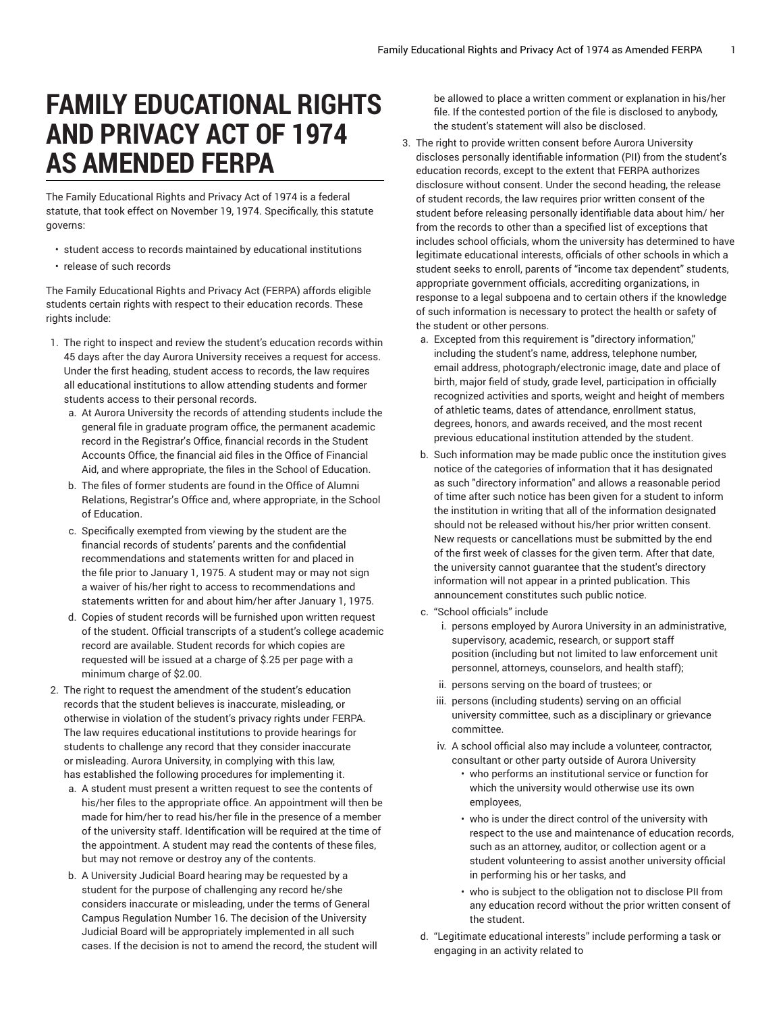## **FAMILY EDUCATIONAL RIGHTS AND PRIVACY ACT OF 1974 AS AMENDED FERPA**

The Family Educational Rights and Privacy Act of 1974 is a federal statute, that took effect on November 19, 1974. Specifically, this statute governs:

- student access to records maintained by educational institutions
- release of such records

The Family Educational Rights and Privacy Act (FERPA) affords eligible students certain rights with respect to their education records. These rights include:

- 1. The right to inspect and review the student's education records within 45 days after the day Aurora University receives a request for access. Under the first heading, student access to records, the law requires all educational institutions to allow attending students and former students access to their personal records.
	- a. At Aurora University the records of attending students include the general file in graduate program office, the permanent academic record in the Registrar's Office, financial records in the Student Accounts Office, the financial aid files in the Office of Financial Aid, and where appropriate, the files in the School of Education.
	- b. The files of former students are found in the Office of Alumni Relations, Registrar's Office and, where appropriate, in the School of Education.
	- c. Specifically exempted from viewing by the student are the financial records of students' parents and the confidential recommendations and statements written for and placed in the file prior to January 1, 1975. A student may or may not sign a waiver of his/her right to access to recommendations and statements written for and about him/her after January 1, 1975.
	- d. Copies of student records will be furnished upon written request of the student. Official transcripts of a student's college academic record are available. Student records for which copies are requested will be issued at a charge of \$.25 per page with a minimum charge of \$2.00.
- 2. The right to request the amendment of the student's education records that the student believes is inaccurate, misleading, or otherwise in violation of the student's privacy rights under FERPA. The law requires educational institutions to provide hearings for students to challenge any record that they consider inaccurate or misleading. Aurora University, in complying with this law, has established the following procedures for implementing it.
	- a. A student must present a written request to see the contents of his/her files to the appropriate office. An appointment will then be made for him/her to read his/her file in the presence of a member of the university staff. Identification will be required at the time of the appointment. A student may read the contents of these files, but may not remove or destroy any of the contents.
	- b. A University Judicial Board hearing may be requested by a student for the purpose of challenging any record he/she considers inaccurate or misleading, under the terms of General Campus Regulation Number 16. The decision of the University Judicial Board will be appropriately implemented in all such cases. If the decision is not to amend the record, the student will

be allowed to place a written comment or explanation in his/her file. If the contested portion of the file is disclosed to anybody, the student's statement will also be disclosed.

- 3. The right to provide written consent before Aurora University discloses personally identifiable information (PII) from the student's education records, except to the extent that FERPA authorizes disclosure without consent. Under the second heading, the release of student records, the law requires prior written consent of the student before releasing personally identifiable data about him/ her from the records to other than a specified list of exceptions that includes school officials, whom the university has determined to have legitimate educational interests, officials of other schools in which a student seeks to enroll, parents of "income tax dependent" students, appropriate government officials, accrediting organizations, in response to a legal subpoena and to certain others if the knowledge of such information is necessary to protect the health or safety of the student or other persons.
	- a. Excepted from this requirement is "directory information," including the student's name, address, telephone number, email address, photograph/electronic image, date and place of birth, major field of study, grade level, participation in officially recognized activities and sports, weight and height of members of athletic teams, dates of attendance, enrollment status, degrees, honors, and awards received, and the most recent previous educational institution attended by the student.
	- b. Such information may be made public once the institution gives notice of the categories of information that it has designated as such "directory information" and allows a reasonable period of time after such notice has been given for a student to inform the institution in writing that all of the information designated should not be released without his/her prior written consent. New requests or cancellations must be submitted by the end of the first week of classes for the given term. After that date, the university cannot guarantee that the student's directory information will not appear in a printed publication. This announcement constitutes such public notice.
	- c. "School officials" include
		- i. persons employed by Aurora University in an administrative, supervisory, academic, research, or support staff position (including but not limited to law enforcement unit personnel, attorneys, counselors, and health staff);
		- ii. persons serving on the board of trustees; or
		- iii. persons (including students) serving on an official university committee, such as a disciplinary or grievance committee.
		- iv. A school official also may include a volunteer, contractor, consultant or other party outside of Aurora University
			- who performs an institutional service or function for which the university would otherwise use its own employees,
			- who is under the direct control of the university with respect to the use and maintenance of education records, such as an attorney, auditor, or collection agent or a student volunteering to assist another university official in performing his or her tasks, and
			- who is subject to the obligation not to disclose PII from any education record without the prior written consent of the student.
	- d. "Legitimate educational interests" include performing a task or engaging in an activity related to